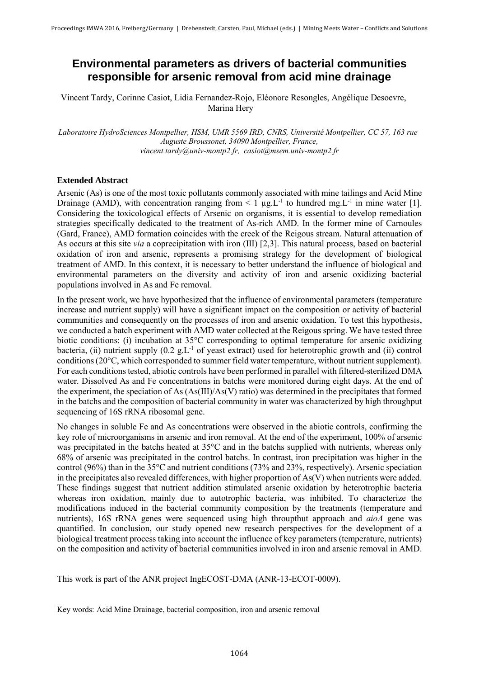## **Environmental parameters as drivers of bacterial communities responsible for arsenic removal from acid mine drainage**

Vincent Tardy, Corinne Casiot, Lidia Fernandez-Rojo, Eléonore Resongles, Angélique Desoevre, Marina Hery

*Laboratoire HydroSciences Montpellier, HSM, UMR 5569 IRD, CNRS, Université Montpellier, CC 57, 163 rue Auguste Broussonet, 34090 Montpellier, France, vincent.tardy@univ-montp2.fr, casiot@msem.univ-montp2.fr* 

## **Extended Abstract**

Arsenic (As) is one of the most toxic pollutants commonly associated with mine tailings and Acid Mine Drainage (AMD), with concentration ranging from  $\leq 1 \mu g_{\perp}L^{-1}$  to hundred mg  $L^{-1}$  in mine water [1]. Considering the toxicological effects of Arsenic on organisms, it is essential to develop remediation strategies specifically dedicated to the treatment of As-rich AMD. In the former mine of Carnoules (Gard, France), AMD formation coincides with the creek of the Reigous stream. Natural attenuation of As occurs at this site *via* a coprecipitation with iron (III) [2,3]. This natural process, based on bacterial oxidation of iron and arsenic, represents a promising strategy for the development of biological treatment of AMD. In this context, it is necessary to better understand the influence of biological and environmental parameters on the diversity and activity of iron and arsenic oxidizing bacterial populations involved in As and Fe removal.

In the present work, we have hypothesized that the influence of environmental parameters (temperature increase and nutrient supply) will have a significant impact on the composition or activity of bacterial communities and consequently on the processes of iron and arsenic oxidation. To test this hypothesis, we conducted a batch experiment with AMD water collected at the Reigous spring. We have tested three biotic conditions: (i) incubation at 35°C corresponding to optimal temperature for arsenic oxidizing bacteria, (ii) nutrient supply  $(0.2 \text{ g.L}^{-1}$  of yeast extract) used for heterotrophic growth and (ii) control conditions (20°C, which corresponded to summer field water temperature, without nutrient supplement). For each conditions tested, abiotic controls have been performed in parallel with filtered-sterilized DMA water. Dissolved As and Fe concentrations in batchs were monitored during eight days. At the end of the experiment, the speciation of As (As(III)/As(V) ratio) was determined in the precipitates that formed in the batchs and the composition of bacterial community in water was characterized by high throughput sequencing of 16S rRNA ribosomal gene.

No changes in soluble Fe and As concentrations were observed in the abiotic controls, confirming the key role of microorganisms in arsenic and iron removal. At the end of the experiment, 100% of arsenic was precipitated in the batchs heated at 35°C and in the batchs supplied with nutrients, whereas only 68% of arsenic was precipitated in the control batchs. In contrast, iron precipitation was higher in the control (96%) than in the 35°C and nutrient conditions (73% and 23%, respectively). Arsenic speciation in the precipitates also revealed differences, with higher proportion of As(V) when nutrients were added. These findings suggest that nutrient addition stimulated arsenic oxidation by heterotrophic bacteria whereas iron oxidation, mainly due to autotrophic bacteria, was inhibited. To characterize the modifications induced in the bacterial community composition by the treatments (temperature and nutrients), 16S rRNA genes were sequenced using high throupthut approach and *aioA* gene was quantified. In conclusion, our study opened new research perspectives for the development of a biological treatment process taking into account the influence of key parameters (temperature, nutrients) on the composition and activity of bacterial communities involved in iron and arsenic removal in AMD.

This work is part of the ANR project IngECOST-DMA (ANR-13-ECOT-0009).

Key words: Acid Mine Drainage, bacterial composition, iron and arsenic removal